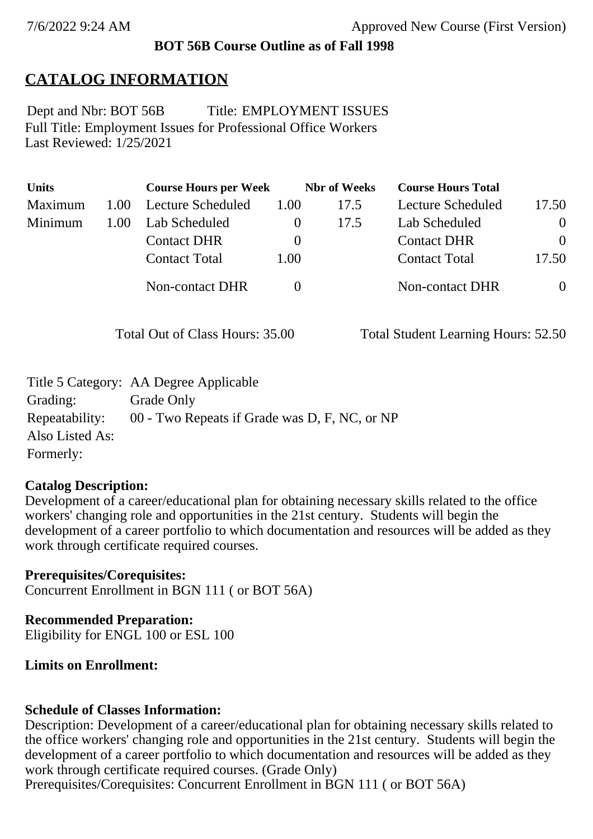## **BOT 56B Course Outline as of Fall 1998**

# **CATALOG INFORMATION**

Full Title: Employment Issues for Professional Office Workers Last Reviewed: 1/25/2021 Dept and Nbr: BOT 56B Title: EMPLOYMENT ISSUES

| <b>Units</b> |      | <b>Course Hours per Week</b> |              | <b>Nbr</b> of Weeks | <b>Course Hours Total</b> |          |
|--------------|------|------------------------------|--------------|---------------------|---------------------------|----------|
| Maximum      | 1.00 | Lecture Scheduled            | 1.00         | 17.5                | Lecture Scheduled         | 17.50    |
| Minimum      | 1.00 | Lab Scheduled                | $\mathbf{0}$ | 17.5                | Lab Scheduled             | $\theta$ |
|              |      | <b>Contact DHR</b>           | $\theta$     |                     | <b>Contact DHR</b>        | $\Omega$ |
|              |      | <b>Contact Total</b>         | 1.00         |                     | <b>Contact Total</b>      | 17.50    |
|              |      | Non-contact DHR              |              |                     | <b>Non-contact DHR</b>    | $\theta$ |

Total Out of Class Hours: 35.00 Total Student Learning Hours: 52.50

|                 | Title 5 Category: AA Degree Applicable        |
|-----------------|-----------------------------------------------|
| Grading:        | Grade Only                                    |
| Repeatability:  | 00 - Two Repeats if Grade was D, F, NC, or NP |
| Also Listed As: |                                               |
| Formerly:       |                                               |

#### **Catalog Description:**

Development of a career/educational plan for obtaining necessary skills related to the office workers' changing role and opportunities in the 21st century. Students will begin the development of a career portfolio to which documentation and resources will be added as they work through certificate required courses.

**Prerequisites/Corequisites:** Concurrent Enrollment in BGN 111 ( or BOT 56A)

**Recommended Preparation:** Eligibility for ENGL 100 or ESL 100

### **Limits on Enrollment:**

### **Schedule of Classes Information:**

Description: Development of a career/educational plan for obtaining necessary skills related to the office workers' changing role and opportunities in the 21st century. Students will begin the development of a career portfolio to which documentation and resources will be added as they work through certificate required courses. (Grade Only)

Prerequisites/Corequisites: Concurrent Enrollment in BGN 111 (or BOT 56A)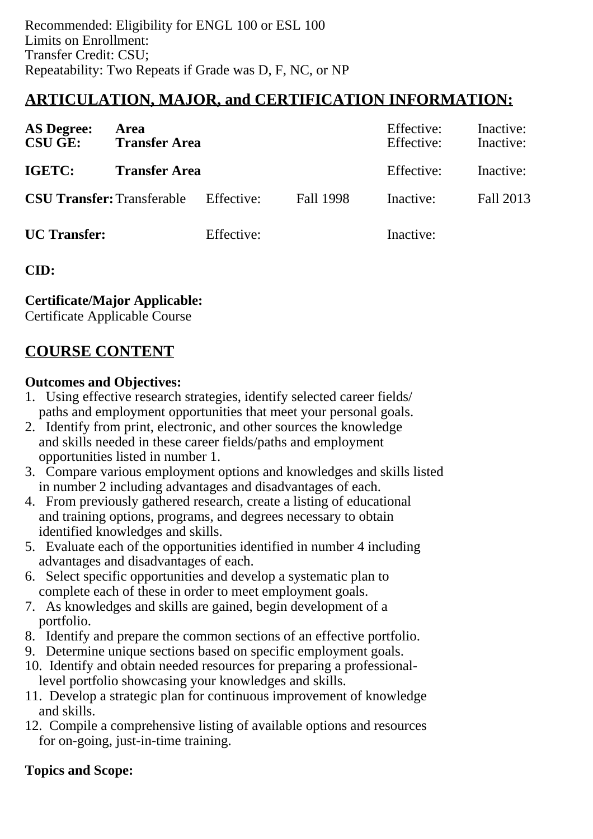## **ARTICULATION, MAJOR, and CERTIFICATION INFORMATION:**

| <b>AS Degree:</b><br><b>CSU GE:</b> | Area<br><b>Transfer Area</b> |            |           | Effective:<br>Effective: | Inactive:<br>Inactive: |
|-------------------------------------|------------------------------|------------|-----------|--------------------------|------------------------|
| IGETC:                              | <b>Transfer Area</b>         |            |           | Effective:               | Inactive:              |
| <b>CSU Transfer: Transferable</b>   |                              | Effective: | Fall 1998 | Inactive:                | Fall 2013              |
| <b>UC</b> Transfer:                 |                              | Effective: |           | Inactive:                |                        |

**CID:**

**Certificate/Major Applicable:** 

[Certificate Applicable Course](SR_ClassCheck.aspx?CourseKey=BOT56B)

## **COURSE CONTENT**

#### **Outcomes and Objectives:**

- 1. Using effective research strategies, identify selected career fields/ paths and employment opportunities that meet your personal goals.
- 2. Identify from print, electronic, and other sources the knowledge and skills needed in these career fields/paths and employment opportunities listed in number 1.
- 3. Compare various employment options and knowledges and skills listed in number 2 including advantages and disadvantages of each.
- 4. From previously gathered research, create a listing of educational and training options, programs, and degrees necessary to obtain identified knowledges and skills.
- 5. Evaluate each of the opportunities identified in number 4 including advantages and disadvantages of each.
- 6. Select specific opportunities and develop a systematic plan to complete each of these in order to meet employment goals.
- 7. As knowledges and skills are gained, begin development of a portfolio.
- 8. Identify and prepare the common sections of an effective portfolio.
- 9. Determine unique sections based on specific employment goals.
- 10. Identify and obtain needed resources for preparing a professional level portfolio showcasing your knowledges and skills.
- 11. Develop a strategic plan for continuous improvement of knowledge and skills.
- 12. Compile a comprehensive listing of available options and resources for on-going, just-in-time training.

### **Topics and Scope:**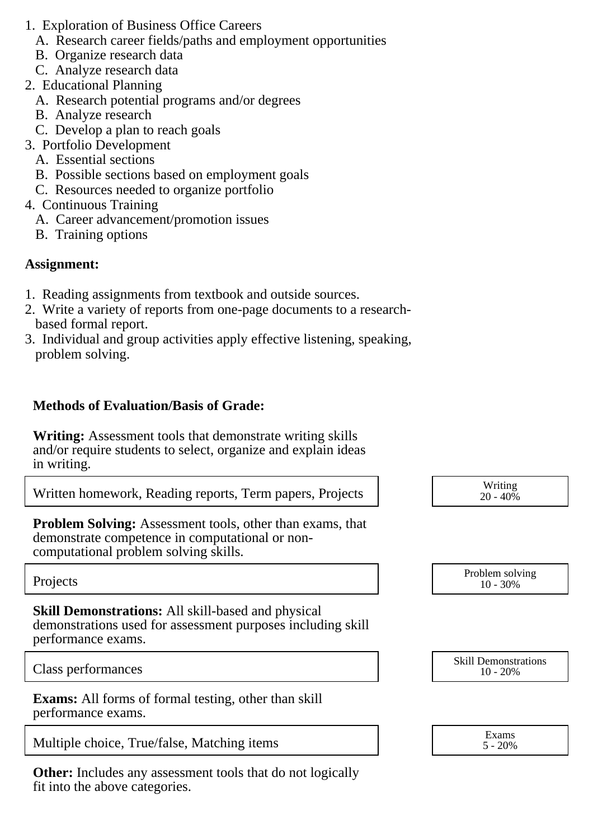- 1. Exploration of Business Office Careers
	- A. Research career fields/paths and employment opportunities
	- B. Organize research data
	- C. Analyze research data
- 2. Educational Planning
	- A. Research potential programs and/or degrees
	- B. Analyze research
	- C. Develop a plan to reach goals
- 3. Portfolio Development
	- A. Essential sections
	- B. Possible sections based on employment goals
	- C. Resources needed to organize portfolio
- 4. Continuous Training
	- A. Career advancement/promotion issues
	- B. Training options

### **Assignment:**

- 1. Reading assignments from textbook and outside sources.
- 2. Write a variety of reports from one-page documents to a research based formal report.
- 3. Individual and group activities apply effective listening, speaking, problem solving.

## **Methods of Evaluation/Basis of Grade:**

**Writing:** Assessment tools that demonstrate writing skills and/or require students to select, organize and explain ideas in writing.

Written homework, Reading reports, Term papers, Projects

**Problem Solving:** Assessment tools, other than exams, that demonstrate competence in computational or noncomputational problem solving skills.

**Skill Demonstrations:** All skill-based and physical demonstrations used for assessment purposes including skill performance exams.

**Exams:** All forms of formal testing, other than skill performance exams.

Multiple choice, True/false, Matching items  $\begin{array}{c} \text{S}_{2.20\%} \\ \text{S}_{4.20\%} \end{array}$ 

**Other:** Includes any assessment tools that do not logically fit into the above categories.

| Writing     |  |
|-------------|--|
| $20 - 40\%$ |  |

Projects Problem solving and the Problem solving and the Problem solving and the Problem solving in the Problem solving in the Problem solving in the Problem solving in the Problem solving in the Problem solving in the Pro 10 - 30%

Class performances Skill Demonstrations 10 - 20%

5 - 20%